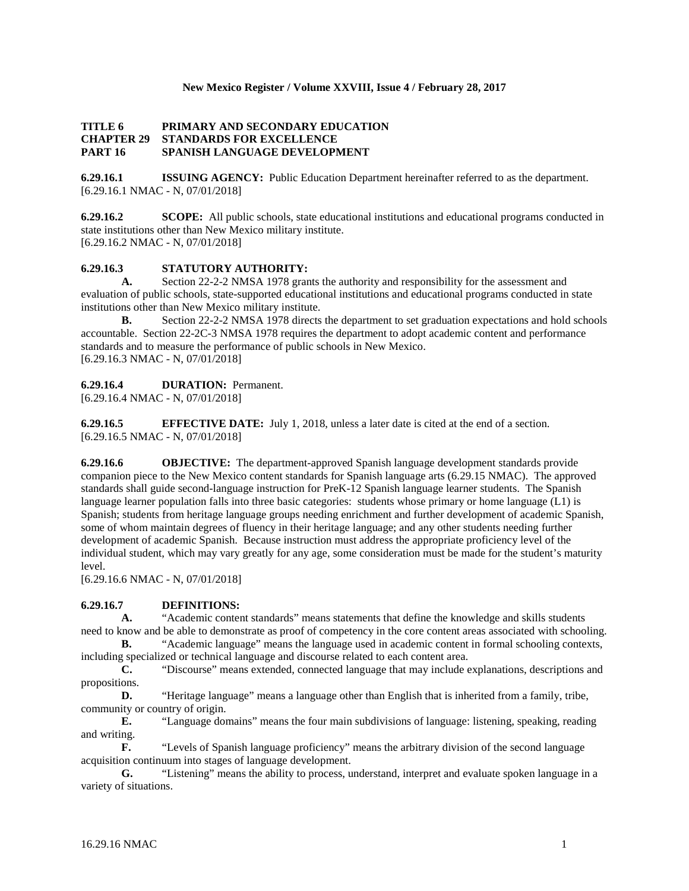#### **New Mexico Register / Volume XXVIII, Issue 4 / February 28, 2017**

#### **TITLE 6 PRIMARY AND SECONDARY EDUCATION CHAPTER 29 STANDARDS FOR EXCELLENCE PART 16 SPANISH LANGUAGE DEVELOPMENT**

**6.29.16.1 ISSUING AGENCY:** Public Education Department hereinafter referred to as the department. [6.29.16.1 NMAC - N, 07/01/2018]

**6.29.16.2 SCOPE:** All public schools, state educational institutions and educational programs conducted in state institutions other than New Mexico military institute. [6.29.16.2 NMAC - N, 07/01/2018]

## **6.29.16.3 STATUTORY AUTHORITY:**

**A.** Section 22-2-2 NMSA 1978 grants the authority and responsibility for the assessment and evaluation of public schools, state-supported educational institutions and educational programs conducted in state institutions other than New Mexico military institute.

**B.** Section 22-2-2 NMSA 1978 directs the department to set graduation expectations and hold schools accountable. Section 22-2C-3 NMSA 1978 requires the department to adopt academic content and performance standards and to measure the performance of public schools in New Mexico. [6.29.16.3 NMAC - N, 07/01/2018]

#### **6.29.16.4 DURATION:** Permanent.

[6.29.16.4 NMAC - N, 07/01/2018]

**6.29.16.5 EFFECTIVE DATE:** July 1, 2018, unless a later date is cited at the end of a section. [6.29.16.5 NMAC - N, 07/01/2018]

**6.29.16.6 OBJECTIVE:** The department-approved Spanish language development standards provide companion piece to the New Mexico content standards for Spanish language arts (6.29.15 NMAC). The approved standards shall guide second-language instruction for PreK-12 Spanish language learner students. The Spanish language learner population falls into three basic categories: students whose primary or home language (L1) is Spanish; students from heritage language groups needing enrichment and further development of academic Spanish, some of whom maintain degrees of fluency in their heritage language; and any other students needing further development of academic Spanish. Because instruction must address the appropriate proficiency level of the individual student, which may vary greatly for any age, some consideration must be made for the student's maturity level.

[6.29.16.6 NMAC - N, 07/01/2018]

## **6.29.16.7 DEFINITIONS:**

**A.** "Academic content standards" means statements that define the knowledge and skills students need to know and be able to demonstrate as proof of competency in the core content areas associated with schooling.

**B.** "Academic language" means the language used in academic content in formal schooling contexts, including specialized or technical language and discourse related to each content area.

**C.** "Discourse" means extended, connected language that may include explanations, descriptions and propositions.

**D.** "Heritage language" means a language other than English that is inherited from a family, tribe, community or country of origin.

**E.** "Language domains" means the four main subdivisions of language: listening, speaking, reading and writing.

**F.** "Levels of Spanish language proficiency" means the arbitrary division of the second language acquisition continuum into stages of language development.

**G.** "Listening" means the ability to process, understand, interpret and evaluate spoken language in a variety of situations.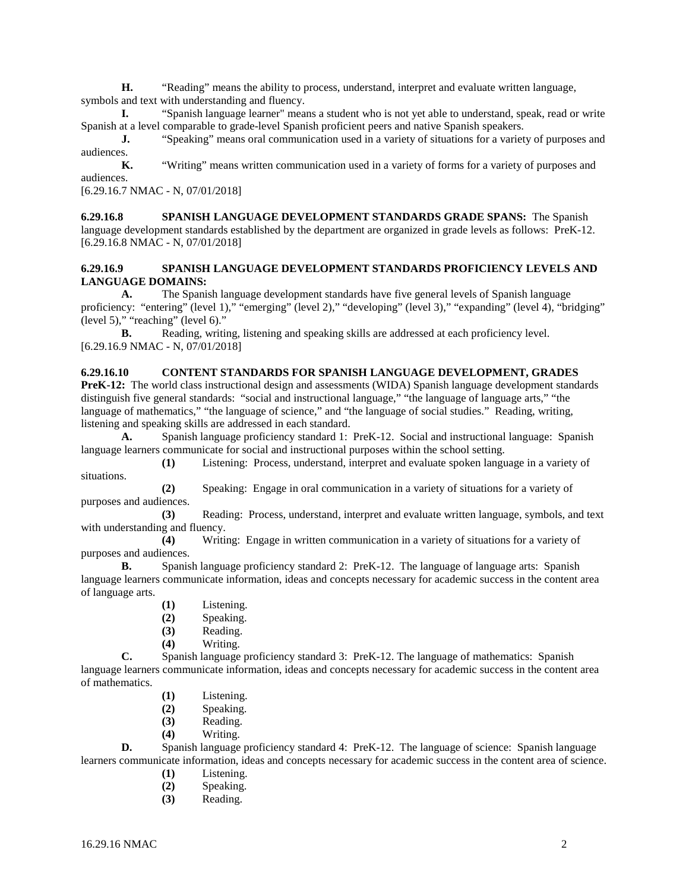**H.** "Reading" means the ability to process, understand, interpret and evaluate written language, symbols and text with understanding and fluency.

**I.** "Spanish language learner" means a student who is not yet able to understand, speak, read or write Spanish at a level comparable to grade-level Spanish proficient peers and native Spanish speakers.

**J.** "Speaking" means oral communication used in a variety of situations for a variety of purposes and audiences.

**K.** "Writing" means written communication used in a variety of forms for a variety of purposes and audiences.

[6.29.16.7 NMAC - N, 07/01/2018]

#### **6.29.16.8 SPANISH LANGUAGE DEVELOPMENT STANDARDS GRADE SPANS:** The Spanish language development standards established by the department are organized in grade levels as follows: PreK-12. [6.29.16.8 NMAC - N, 07/01/2018]

## **6.29.16.9 SPANISH LANGUAGE DEVELOPMENT STANDARDS PROFICIENCY LEVELS AND LANGUAGE DOMAINS:**

**A.** The Spanish language development standards have five general levels of Spanish language proficiency: "entering" (level 1)," "emerging" (level 2)," "developing" (level 3)," "expanding" (level 4), "bridging" (level 5)," "reaching" (level 6)."

**B.** Reading, writing, listening and speaking skills are addressed at each proficiency level. [6.29.16.9 NMAC - N, 07/01/2018]

## **6.29.16.10 CONTENT STANDARDS FOR SPANISH LANGUAGE DEVELOPMENT, GRADES**

**PreK-12:** The world class instructional design and assessments (WIDA) Spanish language development standards distinguish five general standards: "social and instructional language," "the language of language arts," "the language of mathematics," "the language of science," and "the language of social studies." Reading, writing, listening and speaking skills are addressed in each standard.

**A.** Spanish language proficiency standard 1: PreK-12. Social and instructional language: Spanish language learners communicate for social and instructional purposes within the school setting.

**(1)** Listening: Process, understand, interpret and evaluate spoken language in a variety of situations.

**(2)** Speaking: Engage in oral communication in a variety of situations for a variety of purposes and audiences.

**(3)** Reading: Process, understand, interpret and evaluate written language, symbols, and text with understanding and fluency.

**(4)** Writing: Engage in written communication in a variety of situations for a variety of purposes and audiences.

**B.** Spanish language proficiency standard 2: PreK-12. The language of language arts: Spanish language learners communicate information, ideas and concepts necessary for academic success in the content area of language arts.

- **(1)** Listening.
- **(2)** Speaking.
- **(3)** Reading.
- **(4)** Writing.

**C.** Spanish language proficiency standard 3: PreK-12. The language of mathematics: Spanish language learners communicate information, ideas and concepts necessary for academic success in the content area of mathematics.

- **(1)** Listening.
- **(2)** Speaking.
- **(3)** Reading.
- **(4)** Writing.

**D.** Spanish language proficiency standard 4: PreK-12. The language of science: Spanish language learners communicate information, ideas and concepts necessary for academic success in the content area of science.

- **(1)** Listening.
- **(2)** Speaking.
- **(3)** Reading.